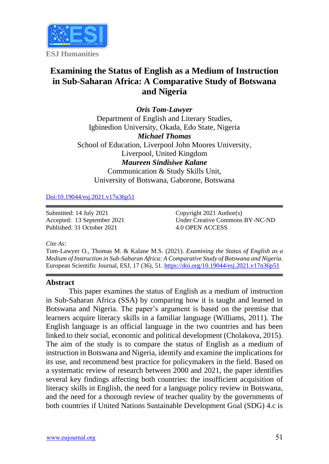

# **Examining the Status of English as a Medium of Instruction in Sub-Saharan Africa: A Comparative Study of Botswana and Nigeria**

*Oris Tom-Lawyer* Department of English and Literary Studies, Igbinedion University, Okada, Edo State, Nigeria *Michael Thomas* School of Education, Liverpool John Moores University, Liverpool, United Kingdom *Maureen Sindisiwe Kalane* Communication & Study Skills Unit, University of Botswana, Gaborone, Botswana

[Doi:10.19044/esj.2021.v17n36p51](https://doi.org/10.19044/esj.2021.v17n36p51)

Submitted: 14 July 2021 Accepted: 13 September 2021 Published: 31 October 2021

Copyright 2021 Author(s) Under Creative Commons BY-NC-ND 4.0 OPEN ACCESS

*Cite As:*

Tom-Lawyer O., Thomas M. & Kalane M.S. (2021). *Examining the Status of English as a Medium of Instruction in Sub-Saharan Africa: A Comparative Study of Botswana and Nigeria.* European Scientific Journal, ESJ, 17 (36), 51. <https://doi.org/10.19044/esj.2021.v17n36p51>

#### **Abstract**

This paper examines the status of English as a medium of instruction in Sub-Saharan Africa (SSA) by comparing how it is taught and learned in Botswana and Nigeria. The paper's argument is based on the premise that learners acquire literacy skills in a familiar language (Williams, 2011). The English language is an official language in the two countries and has been linked to their social, economic and political development (Cholakova, 2015). The aim of the study is to compare the status of English as a medium of instruction in Botswana and Nigeria, identify and examine the implications for its use, and recommend best practice for policymakers in the field. Based on a systematic review of research between 2000 and 2021, the paper identifies several key findings affecting both countries: the insufficient acquisition of literacy skills in English, the need for a language policy review in Botswana, and the need for a thorough review of teacher quality by the governments of both countries if United Nations Sustainable Development Goal (SDG) 4.c is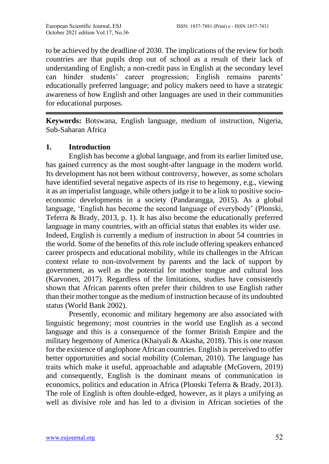to be achieved by the deadline of 2030. The implications of the review for both countries are that pupils drop out of school as a result of their lack of understanding of English; a non-credit pass in English at the secondary level can hinder students' career progression; English remains parents' educationally preferred language; and policy makers need to have a strategic awareness of how English and other languages are used in their communities for educational purposes.

**Keywords:** Botswana, English language, medium of instruction, Nigeria, Sub-Saharan Africa

### **1. Introduction**

English has become a global language, and from its earlier limited use, has gained currency as the most sought-after language in the modern world. Its development has not been without controversy, however, as some scholars have identified several negative aspects of its rise to hegemony, e.g., viewing it as an imperialist language, while others judge it to be a link to positive socioeconomic developments in a society (Pandarangga*,* 2015). As a global language, 'English has become the second language of everybody' (Plonski, Teferra & Brady, 2013, p. 1). It has also become the educationally preferred language in many countries, with an official status that enables its wider use. Indeed, English is currently a medium of instruction in about 54 countries in the world. Some of the benefits of this role include offering speakers enhanced career prospects and educational mobility, while its challenges in the African context relate to non-involvement by parents and the lack of support by government, as well as the potential for mother tongue and cultural loss (Karvonen, 2017). Regardless of the limitations, studies have consistently shown that African parents often prefer their children to use English rather than their mother tongue as the medium of instruction because of its undoubted status (World Bank 2002).

Presently, economic and military hegemony are also associated with linguistic hegemony; most countries in the world use English as a second language and this is a consequence of the former British Empire and the military hegemony of America (Khaiyali & Akasha, 2018). This is one reason for the existence of anglophone African countries. English is perceived to offer better opportunities and social mobility (Coleman, 2010). The language has traits which make it useful, approachable and adaptable (McGovern, 2019) and consequently, English is the dominant means of communication in economics, politics and education in Africa (Plonski Teferra & Brady, 2013). The role of English is often double-edged, however, as it plays a unifying as well as divisive role and has led to a division in African societies of the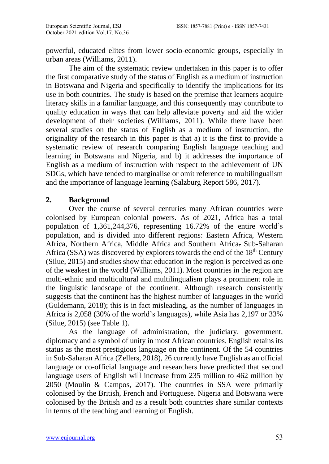powerful, educated elites from lower socio-economic groups, especially in urban areas (Williams, 2011).

The aim of the systematic review undertaken in this paper is to offer the first comparative study of the status of English as a medium of instruction in Botswana and Nigeria and specifically to identify the implications for its use in both countries. The study is based on the premise that learners acquire literacy skills in a familiar language, and this consequently may contribute to quality education in ways that can help alleviate poverty and aid the wider development of their societies (Williams, 2011). While there have been several studies on the status of English as a medium of instruction, the originality of the research in this paper is that a) it is the first to provide a systematic review of research comparing English language teaching and learning in Botswana and Nigeria, and b) it addresses the importance of English as a medium of instruction with respect to the achievement of UN SDGs, which have tended to marginalise or omit reference to multilingualism and the importance of language learning (Salzburg Report 586, 2017).

### **2. Background**

Over the course of several centuries many African countries were colonised by European colonial powers. As of 2021, Africa has a total population of 1,361,244,376, representing 16.72% of the entire world's population, and is divided into different regions: Eastern Africa, Western Africa, Northern Africa, Middle Africa and Southern Africa. Sub-Saharan Africa (SSA) was discovered by explorers towards the end of the  $18<sup>th</sup>$  Century (Silue, 2015) and studies show that education in the region is perceived as one of the weakest in the world (Williams, 2011). Most countries in the region are multi-ethnic and multicultural and multilingualism plays a prominent role in the linguistic landscape of the continent. Although research consistently suggests that the continent has the highest number of languages in the world (Guldemann, 2018); this is in fact misleading, as the number of languages in Africa is 2,058 (30% of the world's languages), while Asia has 2,197 or 33% (Silue, 2015) (see Table 1).

As the language of administration, the judiciary, government, diplomacy and a symbol of unity in most African countries, English retains its status as the most prestigious language on the continent. Of the 54 countries in Sub-Saharan Africa (Zellers, 2018), 26 currently have English as an official language or co-official language and researchers have predicted that second language users of English will increase from 235 million to 462 million by 2050 (Moulin & Campos, 2017). The countries in SSA were primarily colonised by the British, French and Portuguese. Nigeria and Botswana were colonised by the British and as a result both countries share similar contexts in terms of the teaching and learning of English.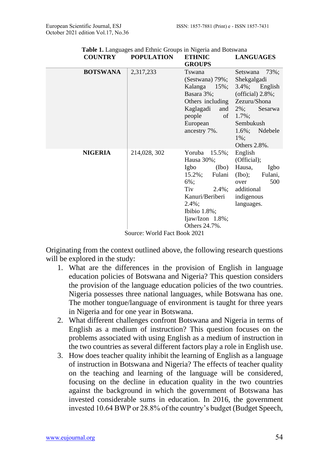| <b>COUNIRI</b>               | PUPULATIUN   | етиме<br><b>GROUPS</b> | LANGUAGES            |  |
|------------------------------|--------------|------------------------|----------------------|--|
| <b>BOTSWANA</b>              | 2,317,233    | Tswana                 | 73%;<br>Setswana     |  |
|                              |              | (Sestwana) 79%;        | Shekgalgadi          |  |
|                              |              | Kalanga 15%;           | $3.4\%$ ; English    |  |
|                              |              | Basara 3%;             | (official) $2.8\%$ ; |  |
|                              |              | Others including       | Zezuru/Shona         |  |
|                              |              | Kaglagadi<br>and       | $2\%$ :<br>Sesarwa   |  |
|                              |              | people<br>of           | $1.7\%$ ;            |  |
|                              |              | European               | Sembukush            |  |
|                              |              | ancestry 7%.           | $1.6\%$ ;<br>Ndebele |  |
|                              |              |                        | $1\%$ :              |  |
|                              |              |                        | Others $2.8\%$ .     |  |
| <b>NIGERIA</b>               | 214,028, 302 | Yoruba<br>$15.5\%$ ;   | English              |  |
|                              |              | Hausa 30%;             | (Official);          |  |
|                              |              | Igbo<br>$(\text{Ibo})$ | Hausa,<br>Igbo       |  |
|                              |              | Fulani<br>$15.2\%$ ;   | Fulani,<br>(Ibo);    |  |
|                              |              | $6\%$ :                | 500<br>over          |  |
|                              |              | Tiv<br>$2.4\%$ ;       | additional           |  |
|                              |              | Kanuri/Beriberi        | indigenous           |  |
|                              |              | $2.4\%$ ;              | languages.           |  |
|                              |              | Ibibio $1.8\%$ ;       |                      |  |
|                              |              | Ijaw/Izon 1.8%;        |                      |  |
|                              |              | Others 24.7%.          |                      |  |
| Source: World Fact Book 2021 |              |                        |                      |  |

**Table 1.** Languages and Ethnic Groups in Nigeria and Botswana<br>COUNTRY POPULATION **DODIT ATION** LANGUAGES<sup>T</sup>

Originating from the context outlined above, the following research questions will be explored in the study:

- 1. What are the differences in the provision of English in language education policies of Botswana and Nigeria? This question considers the provision of the language education policies of the two countries. Nigeria possesses three national languages, while Botswana has one. The mother tongue/language of environment is taught for three years in Nigeria and for one year in Botswana.
- 2. What different challenges confront Botswana and Nigeria in terms of English as a medium of instruction? This question focuses on the problems associated with using English as a medium of instruction in the two countries as several different factors play a role in English use.
- 3. How does teacher quality inhibit the learning of English as a language of instruction in Botswana and Nigeria? The effects of teacher quality on the teaching and learning of the language will be considered, focusing on the decline in education quality in the two countries against the background in which the government of Botswana has invested considerable sums in education. In 2016, the government invested 10.64 BWP or 28.8% of the country's budget (Budget Speech,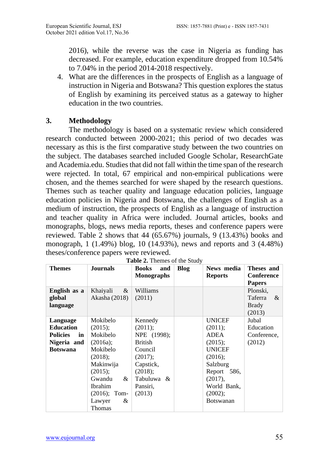2016), while the reverse was the case in Nigeria as funding has decreased. For example, education expenditure dropped from 10.54% to 7.04% in the period 2014-2018 respectively.

4. What are the differences in the prospects of English as a language of instruction in Nigeria and Botswana? This question explores the status of English by examining its perceived status as a gateway to higher education in the two countries.

### **3. Methodology**

The methodology is based on a systematic review which considered research conducted between 2000-2021; this period of two decades was necessary as this is the first comparative study between the two countries on the subject. The databases searched included Google Scholar, ResearchGate and Academia.edu. Studies that did not fall within the time span of the research were rejected. In total, 67 empirical and non-empirical publications were chosen, and the themes searched for were shaped by the research questions. Themes such as teacher quality and language education policies, language education policies in Nigeria and Botswana, the challenges of English as a medium of instruction, the prospects of English as a language of instruction and teacher quality in Africa were included. Journal articles, books and monographs, blogs, news media reports, theses and conference papers were reviewed. Table 2 shows that 44 (65.67%) journals, 9 (13.43%) books and monograph, 1 (1.49%) blog, 10 (14.93%), news and reports and 3 (4.48%) theses/conference papers were reviewed.

| <b>Themes</b>                                                                           | <b>Journals</b>                                                                                                                                                                  | <b>Books</b><br>and<br><b>Monographs</b>                                                                                                    | Blog | News media<br><b>Reports</b>                                                                                                                                      | Theses and<br><b>Conference</b><br><b>Papers</b> |
|-----------------------------------------------------------------------------------------|----------------------------------------------------------------------------------------------------------------------------------------------------------------------------------|---------------------------------------------------------------------------------------------------------------------------------------------|------|-------------------------------------------------------------------------------------------------------------------------------------------------------------------|--------------------------------------------------|
| English as a<br>global<br>language                                                      | Khaiyali<br>$\&$<br>Akasha (2018)                                                                                                                                                | Williams<br>(2011)                                                                                                                          |      |                                                                                                                                                                   | Plonski,<br>Taferra<br>&<br>Brady<br>(2013)      |
| Language<br><b>Education</b><br><b>Policies</b><br>in<br>Nigeria and<br><b>Botswana</b> | Mokibelo<br>$(2015)$ ;<br>Mokibelo<br>(2016a);<br>Mokibelo<br>$(2018)$ ;<br>Makinwija<br>$(2015)$ ;<br>Gwandu<br>&<br><b>Ibrahim</b><br>$(2016)$ ; Tom-<br>Lawyer<br>&<br>Thomas | Kennedy<br>$(2011)$ ;<br>NPE (1998);<br><b>British</b><br>Council<br>$(2017)$ ;<br>Capstick,<br>(2018);<br>Tabuluwa &<br>Pansiri,<br>(2013) |      | <b>UNICEF</b><br>$(2011)$ ;<br>ADEA<br>(2015);<br><b>UNICEF</b><br>$(2016)$ :<br>Salzburg<br>Report 586,<br>(2017),<br>World Bank,<br>(2002);<br><b>Botswanan</b> | Jubal<br>Education<br>Conference,<br>(2012)      |

| Table 2. Themes of the Study |  |  |
|------------------------------|--|--|
|                              |  |  |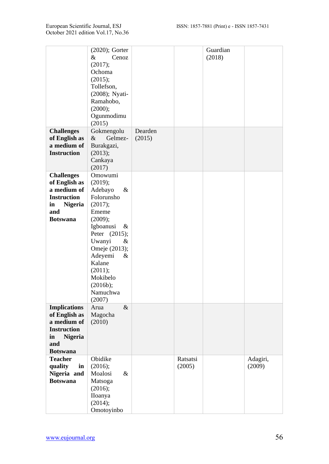|                                                                                                                             | $(2020)$ ; Gorter<br>&<br>Cenoz<br>(2017);<br>Ochoma<br>(2015);<br>Tollefson,<br>(2008); Nyati-<br>Ramahobo,<br>(2000);<br>Ogunmodimu<br>(2015)                                                                                       |                   |                    | Guardian<br>(2018) |                    |
|-----------------------------------------------------------------------------------------------------------------------------|---------------------------------------------------------------------------------------------------------------------------------------------------------------------------------------------------------------------------------------|-------------------|--------------------|--------------------|--------------------|
| <b>Challenges</b><br>of English as<br>a medium of<br><b>Instruction</b>                                                     | Gokmengolu<br>$\&$<br>Gelmez-<br>Burakgazi,<br>(2013);<br>Cankaya<br>(2017)                                                                                                                                                           | Dearden<br>(2015) |                    |                    |                    |
| <b>Challenges</b><br>of English as<br>a medium of<br><b>Instruction</b><br><b>Nigeria</b><br>in<br>and<br><b>Botswana</b>   | Omowumi<br>(2019);<br>Adebayo<br>&<br>Folorunsho<br>(2017);<br>Ememe<br>(2009);<br>Igboanusi<br>&<br>Peter (2015);<br>Uwanyi<br>&<br>Omeje (2013);<br>Adeyemi<br>&<br>Kalane<br>(2011);<br>Mokibelo<br>(2016b);<br>Namuchwa<br>(2007) |                   |                    |                    |                    |
| <b>Implications</b><br>of English as<br>a medium of<br><b>Instruction</b><br><b>Nigeria</b><br>in<br>and<br><b>Botswana</b> | $\&$<br>Arua<br>Magocha<br>(2010)                                                                                                                                                                                                     |                   |                    |                    |                    |
| <b>Teacher</b><br>quality<br>in<br>Nigeria and<br><b>Botswana</b>                                                           | Obidike<br>(2016);<br>Moalosi<br>&<br>Matsoga<br>(2016);<br>IIoanya<br>(2014);<br>Omotoyinbo                                                                                                                                          |                   | Ratsatsi<br>(2005) |                    | Adagiri,<br>(2009) |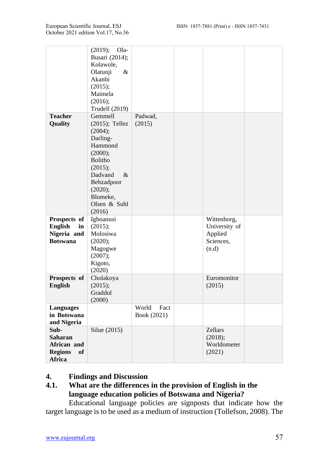|                                                                         | (2019);<br>Ola-<br>Busari (2014);<br>Kolawole,<br>&<br>Olatunji<br>Akanbi<br>(2015);<br>Maimela<br>(2016);<br><b>Trudell</b> (2019)                                                   |                              |                                                               |  |
|-------------------------------------------------------------------------|---------------------------------------------------------------------------------------------------------------------------------------------------------------------------------------|------------------------------|---------------------------------------------------------------|--|
| <b>Teacher</b><br>Quality                                               | Gemmell<br>$(2015)$ ; Tellez<br>(2004);<br>Darling-<br>Hammond<br>(2000);<br><b>Bolitho</b><br>(2015);<br>Dadvand<br>&<br>Behzadpoor<br>(2020);<br>Blomeke,<br>Olsen & Suhl<br>(2016) | Padwad,<br>(2015)            |                                                               |  |
| Prospects of<br><b>English</b><br>in<br>Nigeria and<br><b>Botswana</b>  | Igboanusi<br>(2015);<br>Molosiwa<br>(2020);<br>Magogwe<br>(2007);<br>Kigoto,<br>(2020)                                                                                                |                              | Wittenborg,<br>University of<br>Applied<br>Sciences,<br>(n.d) |  |
| Prospects of<br><b>English</b>                                          | Cholakoya<br>(2015);<br>Graddol<br>(2000)                                                                                                                                             |                              | Euromonitor<br>(2015)                                         |  |
| <b>Languages</b><br>in Botswana<br>and Nigeria                          |                                                                                                                                                                                       | World<br>Fact<br>Book (2021) |                                                               |  |
| Sub-<br><b>Saharan</b><br>African and<br><b>Regions</b><br>of<br>Africa | Silue (2015)                                                                                                                                                                          |                              | Zellars<br>(2018);<br>Worldometer<br>(2021)                   |  |

## **4. Findings and Discussion**

# **4.1. What are the differences in the provision of English in the language education policies of Botswana and Nigeria?**

Educational language policies are signposts that indicate how the target language is to be used as a medium of instruction (Tollefson, 2008). The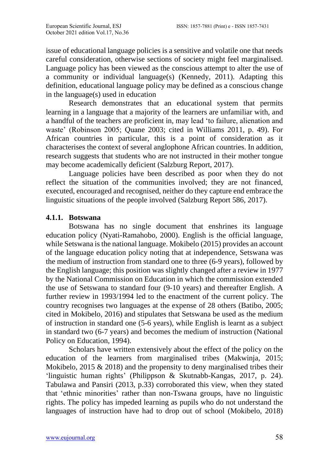issue of educational language policies is a sensitive and volatile one that needs careful consideration, otherwise sections of society might feel marginalised. Language policy has been viewed as the conscious attempt to alter the use of a community or individual language(s) (Kennedy, 2011). Adapting this definition, educational language policy may be defined as a conscious change in the language(s) used in education

Research demonstrates that an educational system that permits learning in a language that a majority of the learners are unfamiliar with, and a handful of the teachers are proficient in, may lead 'to failure, alienation and waste' (Robinson 2005; Quane 2003; cited in Williams 2011, p. 49). For African countries in particular, this is a point of consideration as it characterises the context of several anglophone African countries. In addition, research suggests that students who are not instructed in their mother tongue may become academically deficient (Salzburg Report, 2017).

Language policies have been described as poor when they do not reflect the situation of the communities involved; they are not financed, executed, encouraged and recognised, neither do they capture end embrace the linguistic situations of the people involved (Salzburg Report 586, 2017).

### **4.1.1. Botswana**

Botswana has no single document that enshrines its language education policy (Nyati-Ramahobo, 2000). English is the official language, while Setswana is the national language. Mokibelo (2015) provides an account of the language education policy noting that at independence, Setswana was the medium of instruction from standard one to three (6-9 years), followed by the English language; this position was slightly changed after a review in 1977 by the National Commission on Education in which the commission extended the use of Setswana to standard four (9-10 years) and thereafter English. A further review in 1993/1994 led to the enactment of the current policy. The country recognises two languages at the expense of 28 others (Batibo, 2005; cited in Mokibelo, 2016) and stipulates that Setswana be used as the medium of instruction in standard one (5-6 years), while English is learnt as a subject in standard two (6-7 years) and becomes the medium of instruction (National Policy on Education, 1994).

Scholars have written extensively about the effect of the policy on the education of the learners from marginalised tribes (Makwinja, 2015; Mokibelo, 2015  $& 2018$ ) and the propensity to deny marginalised tribes their 'linguistic human rights' (Philippson & Skutnabb-Kangas, 2017, p. 24). Tabulawa and Pansiri (2013, p.33) corroborated this view, when they stated that 'ethnic minorities' rather than non-Tswana groups, have no linguistic rights. The policy has impeded learning as pupils who do not understand the languages of instruction have had to drop out of school (Mokibelo, 2018)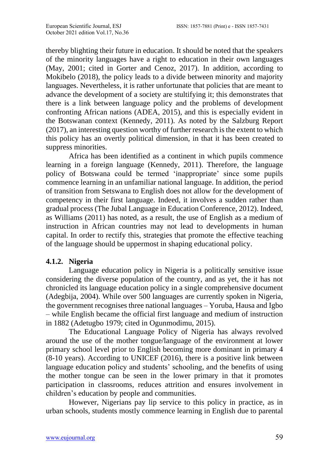thereby blighting their future in education. It should be noted that the speakers of the minority languages have a right to education in their own languages (May, 2001; cited in Gorter and Cenoz, 2017). In addition, according to Mokibelo (2018), the policy leads to a divide between minority and majority languages. Nevertheless, it is rather unfortunate that policies that are meant to advance the development of a society are stultifying it; this demonstrates that there is a link between language policy and the problems of development confronting African nations (ADEA, 2015), and this is especially evident in the Botswanan context (Kennedy, 2011). As noted by the Salzburg Report (2017), an interesting question worthy of further research is the extent to which this policy has an overtly political dimension, in that it has been created to suppress minorities.

Africa has been identified as a continent in which pupils commence learning in a foreign language (Kennedy, 2011). Therefore, the language policy of Botswana could be termed 'inappropriate' since some pupils commence learning in an unfamiliar national language. In addition, the period of transition from Setswana to English does not allow for the development of competency in their first language. Indeed, it involves a sudden rather than gradual process (The Jubal Language in Education Conference, 2012). Indeed, as Williams (2011) has noted, as a result, the use of English as a medium of instruction in African countries may not lead to developments in human capital. In order to rectify this, strategies that promote the effective teaching of the language should be uppermost in shaping educational policy.

## **4.1.2. Nigeria**

Language education policy in Nigeria is a politically sensitive issue considering the diverse population of the country, and as yet, the it has not chronicled its language education policy in a single comprehensive document (Adegbija, 2004). While over 500 languages are currently spoken in Nigeria, the government recognises three national languages – Yoruba, Hausa and Igbo – while English became the official first language and medium of instruction in 1882 (Adetugbo 1979; cited in Ogunmodimu, 2015).

The Educational Language Policy of Nigeria has always revolved around the use of the mother tongue/language of the environment at lower primary school level prior to English becoming more dominant in primary 4 (8-10 years). According to UNICEF (2016), there is a positive link between language education policy and students' schooling, and the benefits of using the mother tongue can be seen in the lower primary in that it promotes participation in classrooms, reduces attrition and ensures involvement in children's education by people and communities.

However, Nigerians pay lip service to this policy in practice, as in urban schools, students mostly commence learning in English due to parental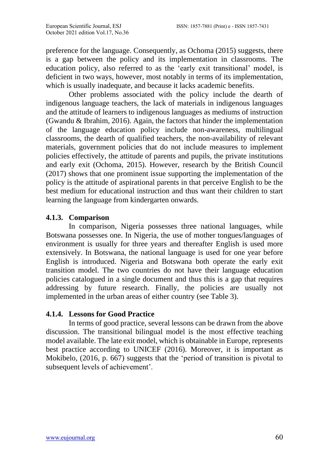preference for the language. Consequently, as Ochoma (2015) suggests, there is a gap between the policy and its implementation in classrooms. The education policy, also referred to as the 'early exit transitional' model, is deficient in two ways, however, most notably in terms of its implementation, which is usually inadequate, and because it lacks academic benefits.

Other problems associated with the policy include the dearth of indigenous language teachers, the lack of materials in indigenous languages and the attitude of learners to indigenous languages as mediums of instruction (Gwandu & Ibrahim, 2016). Again, the factors that hinder the implementation of the language education policy include non-awareness, multilingual classrooms, the dearth of qualified teachers, the non-availability of relevant materials, government policies that do not include measures to implement policies effectively, the attitude of parents and pupils, the private institutions and early exit (Ochoma, 2015). However, research by the British Council (2017) shows that one prominent issue supporting the implementation of the policy is the attitude of aspirational parents in that perceive English to be the best medium for educational instruction and thus want their children to start learning the language from kindergarten onwards.

### **4.1.3. Comparison**

In comparison, Nigeria possesses three national languages, while Botswana possesses one. In Nigeria, the use of mother tongues/languages of environment is usually for three years and thereafter English is used more extensively. In Botswana, the national language is used for one year before English is introduced. Nigeria and Botswana both operate the early exit transition model. The two countries do not have their language education policies catalogued in a single document and thus this is a gap that requires addressing by future research. Finally, the policies are usually not implemented in the urban areas of either country (see Table 3).

#### **4.1.4. Lessons for Good Practice**

In terms of good practice, several lessons can be drawn from the above discussion. The transitional bilingual model is the most effective teaching model available. The late exit model, which is obtainable in Europe, represents best practice according to UNICEF (2016). Moreover, it is important as Mokibelo, (2016, p. 667) suggests that the 'period of transition is pivotal to subsequent levels of achievement'.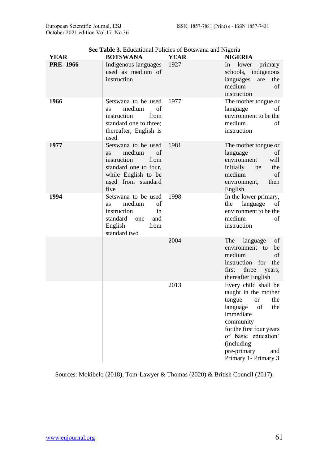| <b>YEAR</b>     | <b>BOTSWANA</b>                                                                                                                                       | <b>YEAR</b> | <b>NIGERIA</b>                                                                                                                                                                                                                                |
|-----------------|-------------------------------------------------------------------------------------------------------------------------------------------------------|-------------|-----------------------------------------------------------------------------------------------------------------------------------------------------------------------------------------------------------------------------------------------|
| <b>PRE-1966</b> | Indigenous languages<br>used as medium of<br>instruction                                                                                              | 1927        | primary<br>lower<br>In<br>schools, indigenous<br>languages<br>the<br>are<br>medium<br>of<br>instruction                                                                                                                                       |
| 1966            | Setswana to be used<br>medium<br>of<br><b>as</b><br>instruction<br>from<br>standard one to three;<br>thereafter, English is<br>used                   | 1977        | The mother tongue or<br>language<br>of<br>environment to be the<br>medium<br>of<br>instruction                                                                                                                                                |
| 1977            | Setswana to be used<br>medium<br>of<br><b>as</b><br>instruction<br>from<br>standard one to four,<br>while English to be<br>used from standard<br>five | 1981        | The mother tongue or<br>language<br>of<br>environment<br>will<br>initially<br>be<br>the<br>medium<br>of<br>environment,<br>then<br>English                                                                                                    |
| 1994            | Setswana to be used<br>medium<br>of<br><b>as</b><br>instruction<br>in<br>standard<br>and<br>one<br>English<br>from<br>standard two                    | 1998        | In the lower primary,<br>the<br>language<br>οf<br>environment to be the<br>medium<br>of<br>instruction                                                                                                                                        |
|                 |                                                                                                                                                       | 2004        | The<br>language<br>οf<br>environment to<br>be<br>medium<br>of<br>instruction for<br>the<br>three<br>first<br>years,<br>thereafter English                                                                                                     |
|                 |                                                                                                                                                       | 2013        | Every child shall be<br>taught in the mother<br>tongue<br>the<br><b>or</b><br>of<br>language<br>the<br>immediate<br>community<br>for the first four years<br>of basic education'<br>(including)<br>pre-primary<br>and<br>Primary 1- Primary 3 |

**See Table 3.** Educational Policies of Botswana and Nigeria

Sources: Mokibelo (2018), Tom-Lawyer & Thomas (2020) & British Council (2017).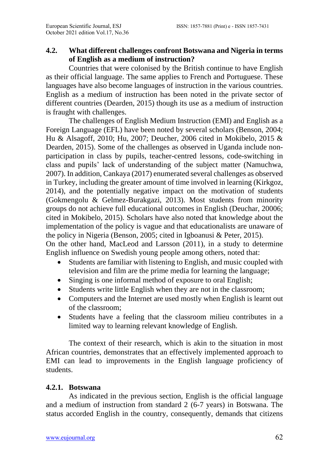## **4.2. What different challenges confront Botswana and Nigeria in terms of English as a medium of instruction?**

Countries that were colonised by the British continue to have English as their official language. The same applies to French and Portuguese. These languages have also become languages of instruction in the various countries. English as a medium of instruction has been noted in the private sector of different countries (Dearden, 2015) though its use as a medium of instruction is fraught with challenges.

The challenges of English Medium Instruction (EMI) and English as a Foreign Language (EFL) have been noted by several scholars (Benson, 2004; Hu & Alsagoff, 2010; Hu, 2007; Deucher, 2006 cited in Mokibelo, 2015 & Dearden, 2015). Some of the challenges as observed in Uganda include nonparticipation in class by pupils, teacher-centred lessons, code-switching in class and pupils' lack of understanding of the subject matter (Namuchwa, 2007). In addition, Cankaya (2017) enumerated several challenges as observed in Turkey, including the greater amount of time involved in learning (Kirkgoz, 2014), and the potentially negative impact on the motivation of students (Gokmengolu & Gelmez-Burakgazi, 2013). Most students from minority groups do not achieve full educational outcomes in English (Deuchar, 20006; cited in Mokibelo, 2015). Scholars have also noted that knowledge about the implementation of the policy is vague and that educationalists are unaware of the policy in Nigeria (Benson, 2005; cited in Igboanusi & Peter, 2015). On the other hand, MacLeod and Larsson (2011), in a study to determine English influence on Swedish young people among others, noted that:

- Students are familiar with listening to English, and music coupled with television and film are the prime media for learning the language;
- Singing is one informal method of exposure to oral English;
- Students write little English when they are not in the classroom;
- Computers and the Internet are used mostly when English is learnt out of the classroom;
- Students have a feeling that the classroom milieu contributes in a limited way to learning relevant knowledge of English.

The context of their research, which is akin to the situation in most African countries, demonstrates that an effectively implemented approach to EMI can lead to improvements in the English language proficiency of students.

## **4.2.1. Botswana**

As indicated in the previous section, English is the official language and a medium of instruction from standard 2 (6-7 years) in Botswana. The status accorded English in the country, consequently, demands that citizens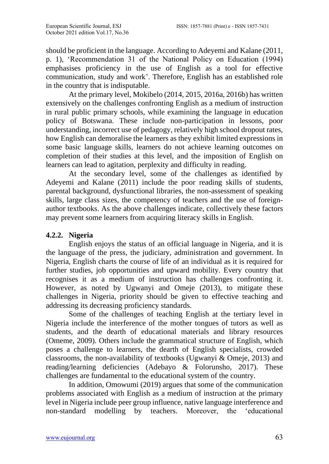should be proficient in the language. According to Adeyemi and Kalane (2011, p. 1), 'Recommendation 31 of the National Policy on Education (1994) emphasises proficiency in the use of English as a tool for effective communication, study and work'. Therefore, English has an established role in the country that is indisputable.

At the primary level, Mokibelo (2014, 2015, 2016a, 2016b) has written extensively on the challenges confronting English as a medium of instruction in rural public primary schools, while examining the language in education policy of Botswana. These include non-participation in lessons, poor understanding, incorrect use of pedagogy, relatively high school dropout rates, how English can demoralise the learners as they exhibit limited expressions in some basic language skills, learners do not achieve learning outcomes on completion of their studies at this level, and the imposition of English on learners can lead to agitation, perplexity and difficulty in reading.

At the secondary level, some of the challenges as identified by Adeyemi and Kalane (2011) include the poor reading skills of students, parental background, dysfunctional libraries, the non-assessment of speaking skills, large class sizes, the competency of teachers and the use of foreignauthor textbooks. As the above challenges indicate, collectively these factors may prevent some learners from acquiring literacy skills in English.

## **4.2.2. Nigeria**

English enjoys the status of an official language in Nigeria, and it is the language of the press, the judiciary, administration and government. In Nigeria, English charts the course of life of an individual as it is required for further studies, job opportunities and upward mobility. Every country that recognises it as a medium of instruction has challenges confronting it. However, as noted by Ugwanyi and Omeje (2013), to mitigate these challenges in Nigeria, priority should be given to effective teaching and addressing its decreasing proficiency standards.

Some of the challenges of teaching English at the tertiary level in Nigeria include the interference of the mother tongues of tutors as well as students, and the dearth of educational materials and library resources (Omeme, 2009). Others include the grammatical structure of English, which poses a challenge to learners, the dearth of English specialists, crowded classrooms, the non-availability of textbooks (Ugwanyi & Omeje, 2013) and reading/learning deficiencies (Adebayo & Folorunsho, 2017). These challenges are fundamental to the educational system of the country.

In addition, Omowumi (2019) argues that some of the communication problems associated with English as a medium of instruction at the primary level in Nigeria include peer group influence, native language interference and non-standard modelling by teachers. Moreover, the 'educational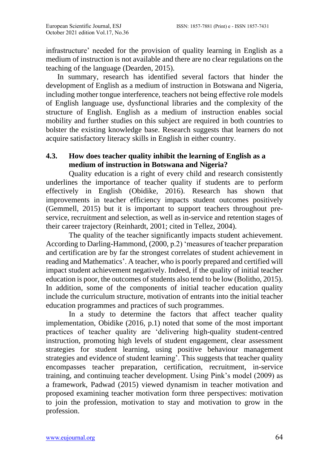infrastructure' needed for the provision of quality learning in English as a medium of instruction is not available and there are no clear regulations on the teaching of the language (Dearden, 2015).

In summary, research has identified several factors that hinder the development of English as a medium of instruction in Botswana and Nigeria, including mother tongue interference, teachers not being effective role models of English language use, dysfunctional libraries and the complexity of the structure of English. English as a medium of instruction enables social mobility and further studies on this subject are required in both countries to bolster the existing knowledge base. Research suggests that learners do not acquire satisfactory literacy skills in English in either country.

## **4.3. How does teacher quality inhibit the learning of English as a medium of instruction in Botswana and Nigeria?**

Quality education is a right of every child and research consistently underlines the importance of teacher quality if students are to perform effectively in English (Obidike, 2016). Research has shown that improvements in teacher efficiency impacts student outcomes positively (Gemmell, 2015) but it is important to support teachers throughout preservice, recruitment and selection, as well as in-service and retention stages of their career trajectory (Reinhardt, 2001; cited in Tellez, 2004).

The quality of the teacher significantly impacts student achievement. According to Darling-Hammond, (2000, p.2) 'measures of teacher preparation and certification are by far the strongest correlates of student achievement in reading and Mathematics'. A teacher, who is poorly prepared and certified will impact student achievement negatively. Indeed, if the quality of initial teacher education is poor, the outcomes of students also tend to be low (Bolitho, 2015). In addition, some of the components of initial teacher education quality include the curriculum structure, motivation of entrants into the initial teacher education programmes and practices of such programmes.

In a study to determine the factors that affect teacher quality implementation, Obidike (2016, p.1) noted that some of the most important practices of teacher quality are 'delivering high-quality student-centred instruction, promoting high levels of student engagement, clear assessment strategies for student learning, using positive behaviour management strategies and evidence of student learning'. This suggests that teacher quality encompasses teacher preparation, certification, recruitment, in-service training, and continuing teacher development. Using Pink's model (2009) as a framework, Padwad (2015) viewed dynamism in teacher motivation and proposed examining teacher motivation form three perspectives: motivation to join the profession, motivation to stay and motivation to grow in the profession.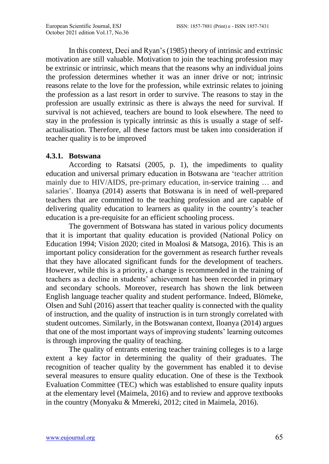In this context, Deci and Ryan's (1985) theory of intrinsic and extrinsic motivation are still valuable. Motivation to join the teaching profession may be extrinsic or intrinsic, which means that the reasons why an individual joins the profession determines whether it was an inner drive or not; intrinsic reasons relate to the love for the profession, while extrinsic relates to joining the profession as a last resort in order to survive. The reasons to stay in the profession are usually extrinsic as there is always the need for survival. If survival is not achieved, teachers are bound to look elsewhere. The need to stay in the profession is typically intrinsic as this is usually a stage of selfactualisation. Therefore, all these factors must be taken into consideration if teacher quality is to be improved

#### **4.3.1. Botswana**

According to Ratsatsi (2005, p. 1), the impediments to quality education and universal primary education in Botswana are 'teacher attrition mainly due to HIV/AIDS, pre-primary education, in-service training … and salaries'. IIoanya (2014) asserts that Botswana is in need of well-prepared teachers that are committed to the teaching profession and are capable of delivering quality education to learners as quality in the country's teacher education is a pre-requisite for an efficient schooling process.

The government of Botswana has stated in various policy documents that it is important that quality education is provided (National Policy on Education 1994; Vision 2020; cited in Moalosi & Matsoga, 2016). This is an important policy consideration for the government as research further reveals that they have allocated significant funds for the development of teachers. However, while this is a priority, a change is recommended in the training of teachers as a decline in students' achievement has been recorded in primary and secondary schools. Moreover, research has shown the link between English language teacher quality and student performance. Indeed, Blömeke, Olsen and Suhl (2016) assert that teacher quality is connected with the quality of instruction, and the quality of instruction is in turn strongly correlated with student outcomes. Similarly, in the Botswanan context, Iloanya (2014) argues that one of the most important ways of improving students' learning outcomes is through improving the quality of teaching.

The quality of entrants entering teacher training colleges is to a large extent a key factor in determining the quality of their graduates. The recognition of teacher quality by the government has enabled it to devise several measures to ensure quality education. One of these is the Textbook Evaluation Committee (TEC) which was established to ensure quality inputs at the elementary level (Maimela, 2016) and to review and approve textbooks in the country (Monyaku & Mmereki, 2012; cited in Maimela, 2016).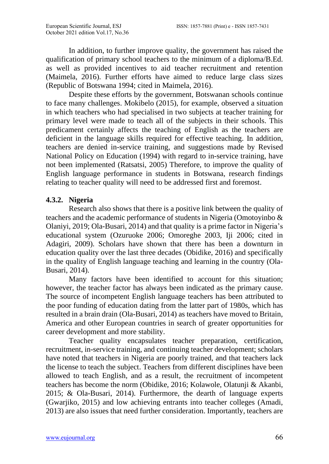In addition, to further improve quality, the government has raised the qualification of primary school teachers to the minimum of a diploma/B.Ed. as well as provided incentives to aid teacher recruitment and retention (Maimela, 2016). Further efforts have aimed to reduce large class sizes (Republic of Botswana 1994; cited in Maimela, 2016).

Despite these efforts by the government, Botswanan schools continue to face many challenges. Mokibelo (2015), for example, observed a situation in which teachers who had specialised in two subjects at teacher training for primary level were made to teach all of the subjects in their schools. This predicament certainly affects the teaching of English as the teachers are deficient in the language skills required for effective teaching. In addition, teachers are denied in-service training, and suggestions made by Revised National Policy on Education (1994) with regard to in-service training, have not been implemented (Ratsatsi, 2005) Therefore, to improve the quality of English language performance in students in Botswana, research findings relating to teacher quality will need to be addressed first and foremost.

## **4.3.2. Nigeria**

Research also shows that there is a positive link between the quality of teachers and the academic performance of students in Nigeria (Omotoyinbo & Olaniyi, 2019; Ola-Busari, 2014) and that quality is a prime factor in Nigeria's educational system (Ozuruoke 2006; Omoreghe 2003, Iji 2006; cited in Adagiri, 2009). Scholars have shown that there has been a downturn in education quality over the last three decades (Obidike, 2016) and specifically in the quality of English language teaching and learning in the country (Ola-Busari, 2014).

Many factors have been identified to account for this situation; however, the teacher factor has always been indicated as the primary cause. The source of incompetent English language teachers has been attributed to the poor funding of education dating from the latter part of 1980s, which has resulted in a brain drain (Ola-Busari, 2014) as teachers have moved to Britain, America and other European countries in search of greater opportunities for career development and more stability.

Teacher quality encapsulates teacher preparation, certification, recruitment, in-service training, and continuing teacher development; scholars have noted that teachers in Nigeria are poorly trained, and that teachers lack the license to teach the subject. Teachers from different disciplines have been allowed to teach English, and as a result, the recruitment of incompetent teachers has become the norm (Obidike, 2016; Kolawole, Olatunji & Akanbi, 2015; & Ola-Busari, 2014). Furthermore, the dearth of language experts (Gwarjiko, 2015) and low achieving entrants into teacher colleges (Amadi, 2013) are also issues that need further consideration. Importantly, teachers are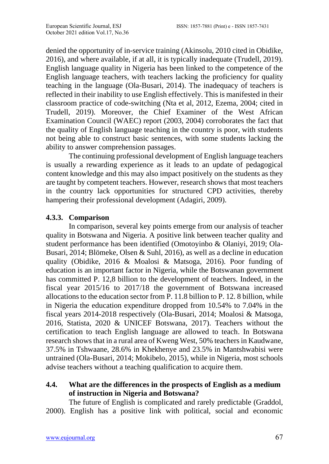denied the opportunity of in-service training (Akinsolu, 2010 cited in Obidike, 2016), and where available, if at all, it is typically inadequate (Trudell, 2019). English language quality in Nigeria has been linked to the competence of the English language teachers, with teachers lacking the proficiency for quality teaching in the language (Ola-Busari, 2014). The inadequacy of teachers is reflected in their inability to use English effectively. This is manifested in their classroom practice of code-switching (Nta et al, 2012, Ezema, 2004; cited in Trudell, 2019). Moreover, the Chief Examiner of the West African Examination Council (WAEC) report (2003, 2004) corroborates the fact that the quality of English language teaching in the country is poor, with students not being able to construct basic sentences, with some students lacking the ability to answer comprehension passages.

The continuing professional development of English language teachers is usually a rewarding experience as it leads to an update of pedagogical content knowledge and this may also impact positively on the students as they are taught by competent teachers. However, research shows that most teachers in the country lack opportunities for structured CPD activities, thereby hampering their professional development (Adagiri, 2009).

### **4.3.3. Comparison**

In comparison, several key points emerge from our analysis of teacher quality in Botswana and Nigeria. A positive link between teacher quality and student performance has been identified (Omotoyinbo & Olaniyi, 2019; Ola-Busari, 2014; Blömeke, Olsen & Suhl, 2016), as well as a decline in education quality (Obidike, 2016 & Moalosi & Matsoga, 2016). Poor funding of education is an important factor in Nigeria, while the Botswanan government has committed P. 12,8 billion to the development of teachers. Indeed, in the fiscal year 2015/16 to 2017/18 the government of Botswana increased allocations to the education sector from P. 11.8 billion to P. 12. 8 billion, while in Nigeria the education expenditure dropped from 10.54% to 7.04% in the fiscal years 2014-2018 respectively (Ola-Busari, 2014; Moalosi & Matsoga, 2016, Statista, 2020 & UNICEF Botswana, 2017). Teachers without the certification to teach English language are allowed to teach. In Botswana research shows that in a rural area of Kweng West, 50% teachers in Kaudwane, 37.5% in Tshwaane, 28.6% in Khekhenye and 23.5% in Mantshwabisi were untrained (Ola-Busari, 2014; Mokibelo, 2015), while in Nigeria, most schools advise teachers without a teaching qualification to acquire them.

## **4.4. What are the differences in the prospects of English as a medium of instruction in Nigeria and Botswana?**

The future of English is complicated and rarely predictable (Graddol, 2000). English has a positive link with political, social and economic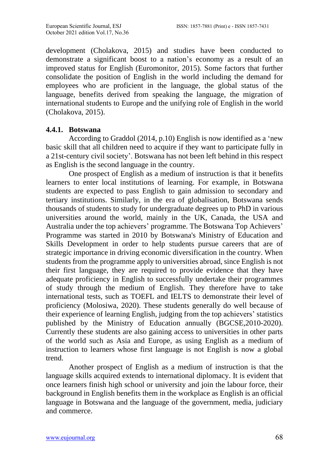development (Cholakova, 2015) and studies have been conducted to demonstrate a significant boost to a nation's economy as a result of an improved status for English (Euromonitor, 2015). Some factors that further consolidate the position of English in the world including the demand for employees who are proficient in the language, the global status of the language, benefits derived from speaking the language, the migration of international students to Europe and the unifying role of English in the world (Cholakova, 2015).

#### **4.4.1. Botswana**

According to Graddol (2014, p.10) English is now identified as a 'new basic skill that all children need to acquire if they want to participate fully in a 21st-century civil society'. Botswana has not been left behind in this respect as English is the second language in the country.

One prospect of English as a medium of instruction is that it benefits learners to enter local institutions of learning. For example, in Botswana students are expected to pass English to gain admission to secondary and tertiary institutions. Similarly, in the era of globalisation, Botswana sends thousands of students to study for undergraduate degrees up to PhD in various universities around the world, mainly in the UK, Canada, the USA and Australia under the top achievers' programme. The Botswana Top Achievers' Programme was started in 2010 by Botswana's Ministry of Education and Skills Development in order to help students pursue careers that are of strategic importance in driving economic diversification in the country. When students from the programme apply to universities abroad, since English is not their first language, they are required to provide evidence that they have adequate proficiency in English to successfully undertake their programmes of study through the medium of English. They therefore have to take international tests, such as TOEFL and IELTS to demonstrate their level of proficiency (Molosiwa, 2020). These students generally do well because of their experience of learning English, judging from the top achievers' statistics published by the Ministry of Education annually (BGCSE,2010-2020). Currently these students are also gaining access to universities in other parts of the world such as Asia and Europe, as using English as a medium of instruction to learners whose first language is not English is now a global trend.

Another prospect of English as a medium of instruction is that the language skills acquired extends to international diplomacy. It is evident that once learners finish high school or university and join the labour force, their background in English benefits them in the workplace as English is an official language in Botswana and the language of the government, media, judiciary and commerce.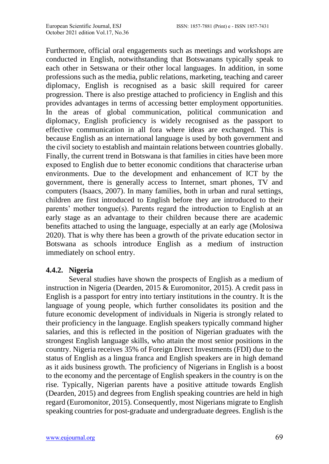Furthermore, official oral engagements such as meetings and workshops are conducted in English, notwithstanding that Botswanans typically speak to each other in Setswana or their other local languages. In addition, in some professions such as the media, public relations, marketing, teaching and career diplomacy, English is recognised as a basic skill required for career progression. There is also prestige attached to proficiency in English and this provides advantages in terms of accessing better employment opportunities. In the areas of global communication, political communication and diplomacy, English proficiency is widely recognised as the passport to effective communication in all fora where ideas are exchanged. This is because English as an international language is used by both government and the civil society to establish and maintain relations between countries globally. Finally, the current trend in Botswana is that families in cities have been more exposed to English due to better economic conditions that characterise urban environments. Due to the development and enhancement of ICT by the government, there is generally access to Internet, smart phones, TV and computers (Isaacs, 2007). In many families, both in urban and rural settings, children are first introduced to English before they are introduced to their parents' mother tongue(s). Parents regard the introduction to English at an early stage as an advantage to their children because there are academic benefits attached to using the language, especially at an early age (Molosiwa 2020). That is why there has been a growth of the private education sector in Botswana as schools introduce English as a medium of instruction immediately on school entry.

#### **4.4.2. Nigeria**

Several studies have shown the prospects of English as a medium of instruction in Nigeria (Dearden, 2015 & Euromonitor, 2015). A credit pass in English is a passport for entry into tertiary institutions in the country. It is the language of young people, which further consolidates its position and the future economic development of individuals in Nigeria is strongly related to their proficiency in the language. English speakers typically command higher salaries, and this is reflected in the position of Nigerian graduates with the strongest English language skills, who attain the most senior positions in the country. Nigeria receives 35% of Foreign Direct Investments (FDI) due to the status of English as a lingua franca and English speakers are in high demand as it aids business growth. The proficiency of Nigerians in English is a boost to the economy and the percentage of English speakers in the country is on the rise. Typically, Nigerian parents have a positive attitude towards English (Dearden, 2015) and degrees from English speaking countries are held in high regard (Euromonitor, 2015). Consequently, most Nigerians migrate to English speaking countries for post-graduate and undergraduate degrees. English is the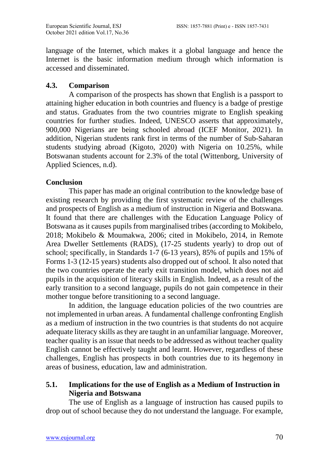language of the Internet, which makes it a global language and hence the Internet is the basic information medium through which information is accessed and disseminated.

## **4.3. Comparison**

A comparison of the prospects has shown that English is a passport to attaining higher education in both countries and fluency is a badge of prestige and status. Graduates from the two countries migrate to English speaking countries for further studies. Indeed, UNESCO asserts that approximately, 900,000 Nigerians are being schooled abroad (ICEF Monitor, 2021). In addition, Nigerian students rank first in terms of the number of Sub-Saharan students studying abroad (Kigoto, 2020) with Nigeria on 10.25%, while Botswanan students account for 2.3% of the total (Wittenborg, University of Applied Sciences, n.d).

## **Conclusion**

This paper has made an original contribution to the knowledge base of existing research by providing the first systematic review of the challenges and prospects of English as a medium of instruction in Nigeria and Botswana. It found that there are challenges with the Education Language Policy of Botswana as it causes pupils from marginalised tribes (according to Mokibelo, 2018; Mokibelo & Moumakwa, 2006; cited in Mokibelo, 2014, in Remote Area Dweller Settlements (RADS), (17-25 students yearly) to drop out of school; specifically, in Standards 1-7 (6-13 years), 85% of pupils and 15% of Forms 1-3 (12-15 years) students also dropped out of school. It also noted that the two countries operate the early exit transition model, which does not aid pupils in the acquisition of literacy skills in English. Indeed, as a result of the early transition to a second language, pupils do not gain competence in their mother tongue before transitioning to a second language.

In addition, the language education policies of the two countries are not implemented in urban areas. A fundamental challenge confronting English as a medium of instruction in the two countries is that students do not acquire adequate literacy skills as they are taught in an unfamiliar language. Moreover, teacher quality is an issue that needs to be addressed as without teacher quality English cannot be effectively taught and learnt. However, regardless of these challenges, English has prospects in both countries due to its hegemony in areas of business, education, law and administration.

## **5.1. Implications for the use of English as a Medium of Instruction in Nigeria and Botswana**

The use of English as a language of instruction has caused pupils to drop out of school because they do not understand the language. For example,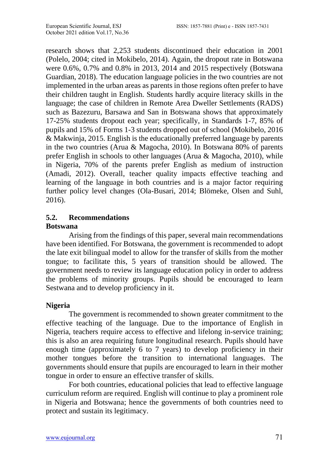research shows that 2,253 students discontinued their education in 2001 (Polelo, 2004; cited in Mokibelo, 2014). Again, the dropout rate in Botswana were 0.6%, 0.7% and 0.8% in 2013, 2014 and 2015 respectively (Botswana Guardian, 2018). The education language policies in the two countries are not implemented in the urban areas as parents in those regions often prefer to have their children taught in English. Students hardly acquire literacy skills in the language; the case of children in Remote Area Dweller Settlements (RADS) such as Bazezuru, Barsawa and San in Botswana shows that approximately 17-25% students dropout each year; specifically, in Standards 1-7, 85% of pupils and 15% of Forms 1-3 students dropped out of school (Mokibelo, 2016 & Makwinja, 2015. English is the educationally preferred language by parents in the two countries (Arua & Magocha, 2010). In Botswana 80% of parents prefer English in schools to other languages (Arua & Magocha, 2010), while in Nigeria, 70% of the parents prefer English as medium of instruction (Amadi, 2012). Overall, teacher quality impacts effective teaching and learning of the language in both countries and is a major factor requiring further policy level changes (Ola-Busari, 2014; Blömeke, Olsen and Suhl, 2016).

### **5.2. Recommendations**

#### **Botswana**

Arising from the findings of this paper, several main recommendations have been identified. For Botswana, the government is recommended to adopt the late exit bilingual model to allow for the transfer of skills from the mother tongue; to facilitate this, 5 years of transition should be allowed. The government needs to review its language education policy in order to address the problems of minority groups. Pupils should be encouraged to learn Sestwana and to develop proficiency in it.

#### **Nigeria**

The government is recommended to shown greater commitment to the effective teaching of the language. Due to the importance of English in Nigeria, teachers require access to effective and lifelong in-service training; this is also an area requiring future longitudinal research. Pupils should have enough time (approximately 6 to 7 years) to develop proficiency in their mother tongues before the transition to international languages. The governments should ensure that pupils are encouraged to learn in their mother tongue in order to ensure an effective transfer of skills.

For both countries, educational policies that lead to effective language curriculum reform are required. English will continue to play a prominent role in Nigeria and Botswana; hence the governments of both countries need to protect and sustain its legitimacy.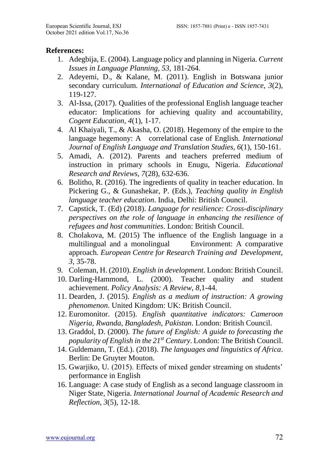#### **References:**

- 1. Adegbija, E. (2004). Language policy and planning in Nigeria. *Current Issues in Language Planning*, *53*, 181-264.
- 2. Adeyemi, D., & Kalane, M. (2011). English in Botswana junior secondary curriculum. *International of Education and Science, 3*(2), 119-127.
- 3. Al-Issa, (2017). Qualities of the professional English language teacher educator: Implications for achieving quality and accountability, *Cogent Education*, *4*(1), 1-17.
- 4. Al Khaiyali, T., & Akasha, O. (2018). Hegemony of the empire to the language hegemony: A correlational case of English*. International Journal of English Language and Translation Studies*, *6*(1), 150-161.
- 5. Amadi, A. (2012). Parents and teachers preferred medium of instruction in primary schools in Enugu, Nigeria. *Educational Research and Reviews*, *7*(28), 632-636.
- 6. Bolitho, R. (2016). The ingredients of quality in teacher education. In Pickering G., & Gunashekar, P. (Eds.), *Teaching quality in English language teacher education*. India, Delhi: British Council.
- 7. Capstick, T. (Ed) (2018). *Language for resilience: Cross-disciplinary perspectives on the role of language in enhancing the resilience of refugees and host communities*. London: British Council.
- 8. Cholakova, M. (2015) The influence of the English language in a multilingual and a monolingual Environment: A comparative approach*. European Centre for Research Training and Development, 3*, 35-78.
- 9. Coleman, H. (2010). *English in development*. London: British Council.
- 10. Darling-Hammond, L. (2000). Teacher quality and student achievement. *Policy Analysis: A Review*, *8*,1-44.
- 11. Dearden, J. (2015). *English as a medium of instruction: A growing phenomenon*. United Kingdom: UK: British Council.
- 12. Euromonitor. (2015). *English quantitative indicators: Cameroon Nigeria, Rwanda, Bangladesh, Pakistan*. London: British Council.
- 13. Graddol, D. (2000). *The future of English: A guide to forecasting the popularity of English in the 21st Century*. London: The British Council.
- 14. Guldemann, T. (Ed.). (2018). *The languages and linguistics of Africa*. Berlin: De Gruyter Mouton.
- 15. Gwarjiko, U. (2015). Effects of mixed gender streaming on students' performance in English
- 16. Language: A case study of English as a second language classroom in Niger State, Nigeria. *International Journal of Academic Research and Reflection, 3*(5), 12-18.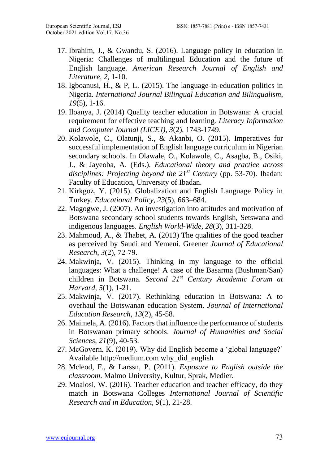- 17. Ibrahim, J., & Gwandu, S. (2016). Language policy in education in Nigeria: Challenges of multilingual Education and the future of English language. *American Research Journal of English and Literature, 2*, 1-10.
- 18. Igboanusi, H., & P, L. (2015). The language-in-education politics in Nigeria. *International Journal Bilingual Education and Bilingualism*, *19*(5), 1-16.
- 19. Iloanya, J. (2014) Quality teacher education in Botswana: A crucial requirement for effective teaching and learning*. Literacy Information and Computer Journal (LICEJ), 3*(2), 1743-1749.
- 20. Kolawole, C., Olatunji, S., & Akanbi, O. (2015). Imperatives for successful implementation of English language curriculum in Nigerian secondary schools. In Olawale, O., Kolawole, C., Asagba, B., Osiki, J., & Jayeoba, A. (Eds.), *Educational theory and practice across disciplines: Projecting beyond the 21st Century* (pp. 53-70). Ibadan: Faculty of Education, University of Ibadan.
- 21. Kirkgoz, Y. (2015). Globalization and English Language Policy in Turkey. *Educational Policy, 23*(5), 663–684.
- 22. Magogwe, J. (2007). An investigation into attitudes and motivation of Botswana secondary school students towards English, Setswana and indigenous languages. *English World-Wide, 28*(3), 311-328.
- 23. Mahmoud, A., & Thabet, A. (2013) The qualities of the good teacher as perceived by Saudi and Yemeni. Greener *Journal of Educational Research, 3*(2), 72-79.
- 24. Makwinja, V. (2015). Thinking in my language to the official languages: What a challenge! A case of the Basarma (Bushman/San) children in Botswana*. Second 21st Century Academic Forum at Harvard*, *5*(1), 1-21.
- 25. Makwinja, V. (2017). Rethinking education in Botswana: A to overhaul the Botswanan education System. *Journal of International Education Research*, *13*(2), 45-58.
- 26. Maimela, A. (2016). Factors that influence the performance of students in Botswanan primary schools. *Journal of Humanities and Social Sciences, 21*(9), 40-53.
- 27. McGovern, K. (2019). Why did English become a 'global language?' Available http://medium.com why\_did\_english
- 28. Mcleod, F., & Larssn, P. (2011). *Exposure to English outside the classroom*. Malmo University, Kultur, Sprak, Medier.
- 29. Moalosi, W. (2016). Teacher education and teacher efficacy, do they match in Botswana Colleges *International Journal of Scientific Research and in Education, 9*(1), 21-28.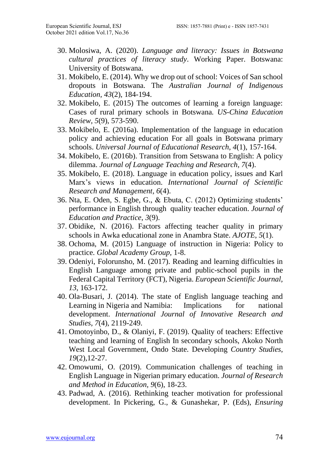- 30. Molosiwa, A. (2020). *Language and literacy: Issues in Botswana cultural practices of literacy study*. Working Paper. Botswana: University of Botswana.
- 31. Mokibelo, E. (2014). Why we drop out of school: Voices of San school dropouts in Botswana. The *Australian Journal of Indigenous Education, 43*(2), 184-194.
- 32. Mokibelo, E. (2015) The outcomes of learning a foreign language: Cases of rural primary schools in Botswana*. US-China Education Review, 5*(9), 573-590.
- 33. Mokibelo, E. (2016a). Implementation of the language in education policy and achieving education For all goals in Botswana primary schools. *Universal Journal of Educational Research*, *4*(1), 157-164.
- 34. Mokibelo, E. (2016b). Transition from Setswana to English: A policy dilemma. *Journal of Language Teaching and Research*, *7*(4).
- 35. Mokibelo, E. (2018). Language in education policy, issues and Karl Marx's views in education. *International Journal of Scientific Research and Management*, *6*(4).
- 36. Nta, E. Oden, S. Egbe, G., & Ebuta, C. (2012) Optimizing students' performance in English through quality teacher education. *Journal of Education and Practice*, *3*(9).
- 37. Obidike, N. (2016). Factors affecting teacher quality in primary schools in Awka educational zone in Anambra State. *AJOTE*, *5*(1).
- 38. Ochoma, M. (2015) Language of instruction in Nigeria: Policy to practice. *Global Academy Group,* 1-8.
- 39. Odeniyi, Folorunsho, M. (2017). Reading and learning difficulties in English Language among private and public-school pupils in the Federal Capital Territory (FCT), Nigeria. *European Scientific Journal, 13*, 163-172.
- 40. Ola-Busari, J. (2014). The state of English language teaching and Learning in Nigeria and Namibia: Implications for national development. *International Journal of Innovative Research and Studies, 7*(4), 2119-249.
- 41. Omotoyinbo, D., & Olaniyi, F. (2019). Quality of teachers: Effective teaching and learning of English In secondary schools, Akoko North West Local Government, Ondo State. Developing *Country Studies*, *19*(2),12-27.
- 42. Omowumi, O. (2019). Communication challenges of teaching in English Language in Nigerian primary education. *Journal of Research and Method in Education, 9*(6), 18-23.
- 43. Padwad, A. (2016). Rethinking teacher motivation for professional development. In Pickering, G., & Gunashekar, P. (Eds), *Ensuring*